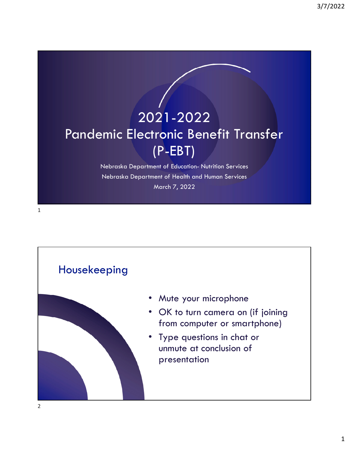# 2021-2022 Pandemic Electronic Benefit Transfer (P-EBT)

Nebraska Department of Education- Nutrition Services Nebraska Department of Health and Human Services March 7, 2022



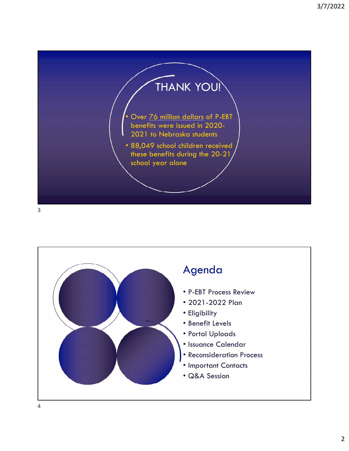

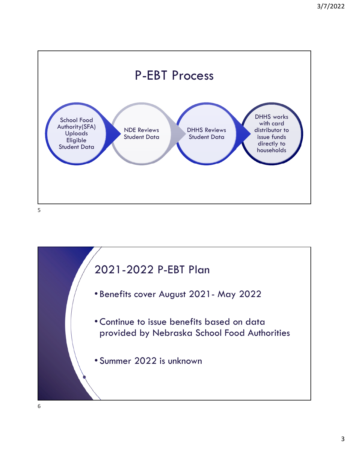

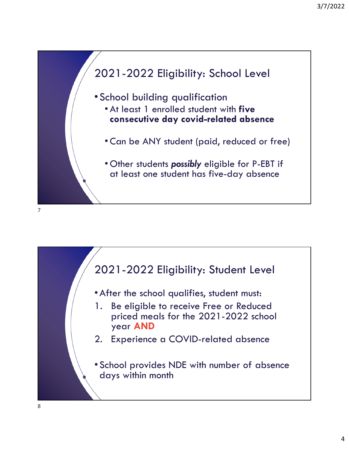

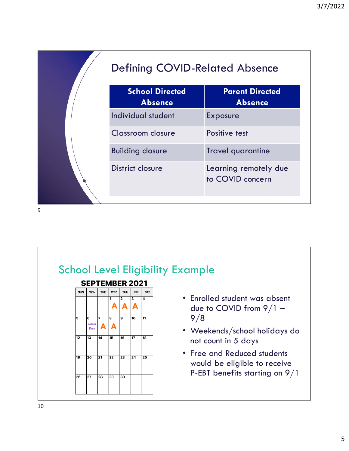| <b>Defining COVID-Related Absence</b>    |                                           |  |
|------------------------------------------|-------------------------------------------|--|
| <b>School Directed</b><br><b>Absence</b> | <b>Parent Directed</b><br><b>Absence</b>  |  |
| Individual student                       | <b>Exposure</b>                           |  |
| Classroom closure                        | Positive test                             |  |
| <b>Building closure</b>                  | <b>Travel quarantine</b>                  |  |
| District closure                         | Learning remotely due<br>to COVID concern |  |
|                                          |                                           |  |

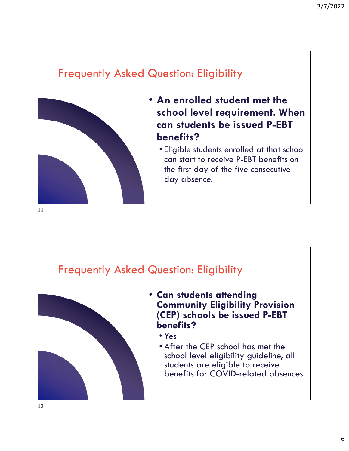### Frequently Asked Question: Eligibility



- **An enrolled student met the school level requirement. When can students be issued P-EBT benefits?**
	- Eligible students enrolled at that school can start to receive P-EBT benefits on the first day of the five consecutive day absence.





- **Can students attending Community Eligibility Provision (CEP) schools be issued P-EBT benefits?**
	- Yes
	- After the CEP school has met the school level eligibility guideline, all students are eligible to receive benefits for COVID-related absences.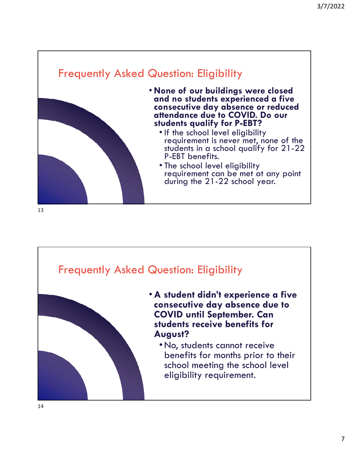





- •**A student didn't experience a five consecutive day absence due to COVID until September. Can students receive benefits for August?**
	- •No, students cannot receive benefits for months prior to their school meeting the school level eligibility requirement.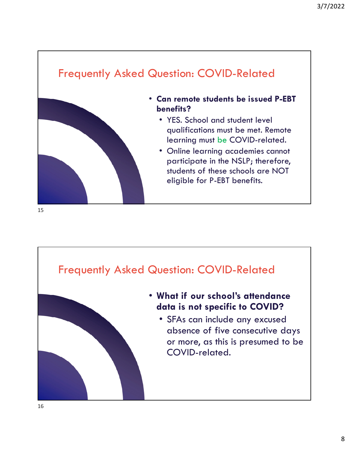## Frequently Asked Question: COVID-Related • **Can remote students be issued P-EBT benefits?** • YES. School and student level qualifications must be met. Remote learning must be COVID-related. • Online learning academies cannot

participate in the NSLP; therefore, students of these schools are NOT eligible for P-EBT benefits.





### • **What if our school's attendance data is not specific to COVID?**

• SFAs can include any excused absence of five consecutive days or more, as this is presumed to be COVID-related.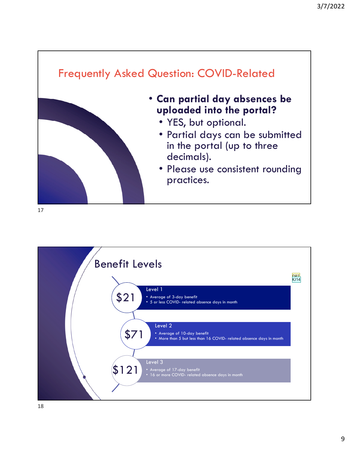

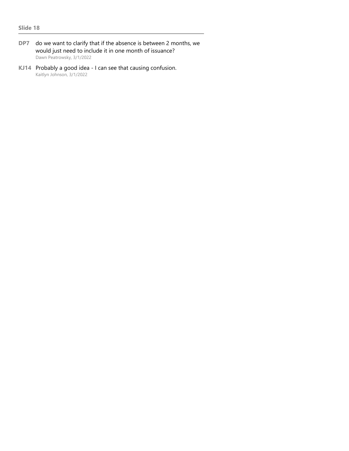- **DP7** do we want to clarify that if the absence is between 2 months, we would just need to include it in one month of issuance? Dawn Peatrowsky, 3/1/2022
- **KJ14** Probably a good idea I can see that causing confusion. Kaitlyn Johnson, 3/1/2022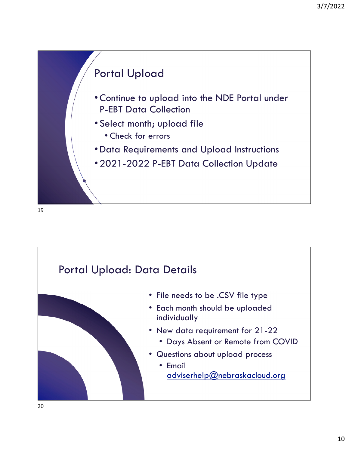

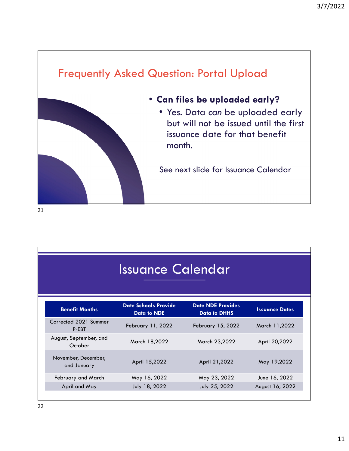

| <b>Issuance Calendar</b> |  |  |
|--------------------------|--|--|
|                          |  |  |

| <b>Benefit Months</b>              | <b>Date Schools Provide</b><br><b>Data to NDE</b> | <b>Date NDE Provides</b><br><b>Data to DHHS</b> | <b>Issuance Dates</b> |
|------------------------------------|---------------------------------------------------|-------------------------------------------------|-----------------------|
| Corrected 2021 Summer<br>P-EBT     | February 11, 2022                                 | February 15, 2022                               | March 11,2022         |
| August, September, and<br>October  | March 18,2022                                     | March 23,2022                                   | April 20,2022         |
| November, December,<br>and January | April 15,2022                                     | April 21,2022                                   | May 19,2022           |
| February and March                 | May 16, 2022                                      | May 23, 2022                                    | June 16, 2022         |
| April and May                      | July 18, 2022                                     | July 25, 2022                                   | August 16, 2022       |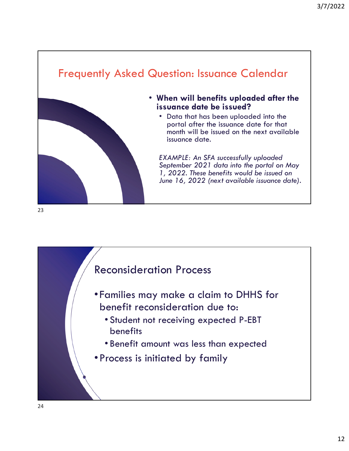### Frequently Asked Question: Issuance Calendar



- **When will benefits uploaded after the issuance date be issued?**
	- Data that has been uploaded into the portal after the issuance date for that month will be issued on the next available issuance date.

*EXAMPLE: An SFA successfully uploaded September 2021 data into the portal on May 1, 2022. These benefits would be issued on June 16, 2022 (next available issuance date).*

#### 23

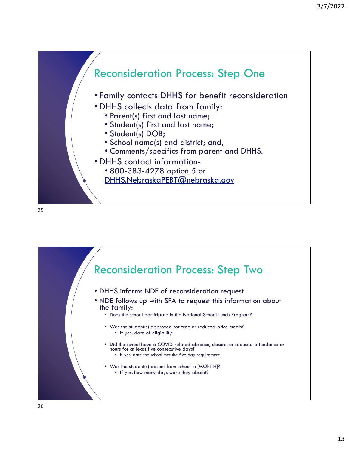

25

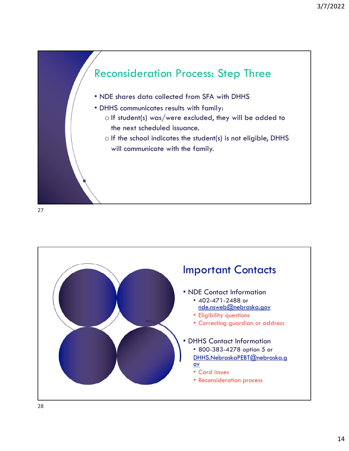